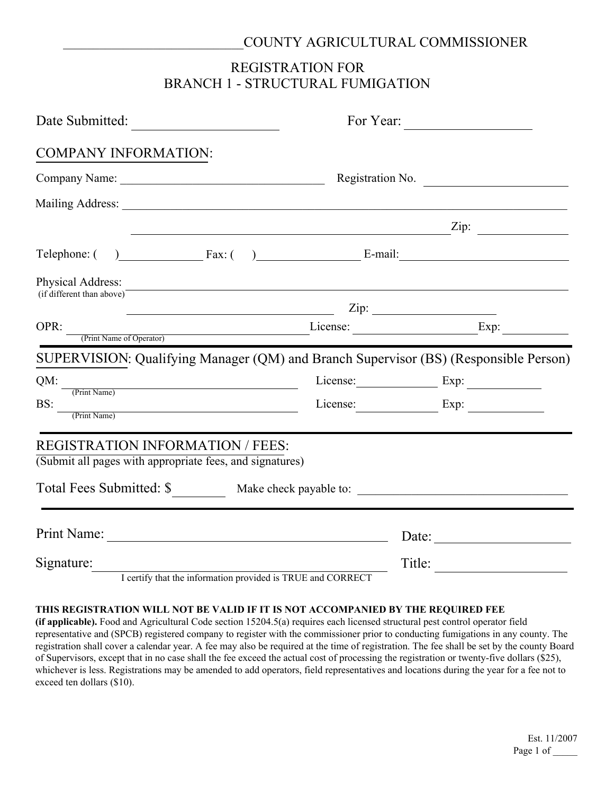#### \_\_\_\_\_\_\_\_\_\_\_\_\_\_\_\_\_\_\_\_\_\_\_\_\_\_\_\_\_\_COUNTY AGRICULTURAL COMMISSIONER

## REGISTRATION FOR BRANCH 1 - STRUCTURAL FUMIGATION

| Date Submitted:                                                                                                                                                                                                                                                                                                                                                                                                                     |                                                                                                                                                                                                                                                                                                                                                                                                                                                                                 |  |                                                                                      |  |  |
|-------------------------------------------------------------------------------------------------------------------------------------------------------------------------------------------------------------------------------------------------------------------------------------------------------------------------------------------------------------------------------------------------------------------------------------|---------------------------------------------------------------------------------------------------------------------------------------------------------------------------------------------------------------------------------------------------------------------------------------------------------------------------------------------------------------------------------------------------------------------------------------------------------------------------------|--|--------------------------------------------------------------------------------------|--|--|
| <b>COMPANY INFORMATION:</b>                                                                                                                                                                                                                                                                                                                                                                                                         |                                                                                                                                                                                                                                                                                                                                                                                                                                                                                 |  |                                                                                      |  |  |
|                                                                                                                                                                                                                                                                                                                                                                                                                                     |                                                                                                                                                                                                                                                                                                                                                                                                                                                                                 |  | Registration No.                                                                     |  |  |
|                                                                                                                                                                                                                                                                                                                                                                                                                                     |                                                                                                                                                                                                                                                                                                                                                                                                                                                                                 |  |                                                                                      |  |  |
|                                                                                                                                                                                                                                                                                                                                                                                                                                     |                                                                                                                                                                                                                                                                                                                                                                                                                                                                                 |  | $\mathbb{Z}$ ip: $\qquad \qquad \qquad \mathbb{Z}$ ip: $\qquad \qquad \qquad$        |  |  |
|                                                                                                                                                                                                                                                                                                                                                                                                                                     |                                                                                                                                                                                                                                                                                                                                                                                                                                                                                 |  | Telephone: $( )$ Fax: $( )$ Fax: $( )$ E-mail:                                       |  |  |
| Physical Address:<br>(if different than above)                                                                                                                                                                                                                                                                                                                                                                                      | and the control of the control of the control of the control of the control of the control of the control of the                                                                                                                                                                                                                                                                                                                                                                |  |                                                                                      |  |  |
|                                                                                                                                                                                                                                                                                                                                                                                                                                     | $\overline{\phantom{a}}$ $\overline{\phantom{a}}$ $\overline{\phantom{a}}$ $\overline{\phantom{a}}$ $\overline{\phantom{a}}$ $\overline{\phantom{a}}$ $\overline{\phantom{a}}$ $\overline{\phantom{a}}$ $\overline{\phantom{a}}$ $\overline{\phantom{a}}$ $\overline{\phantom{a}}$ $\overline{\phantom{a}}$ $\overline{\phantom{a}}$ $\overline{\phantom{a}}$ $\overline{\phantom{a}}$ $\overline{\phantom{a}}$ $\overline{\phantom{a}}$ $\overline{\phantom{a}}$ $\overline{\$ |  |                                                                                      |  |  |
| OPR:                                                                                                                                                                                                                                                                                                                                                                                                                                |                                                                                                                                                                                                                                                                                                                                                                                                                                                                                 |  |                                                                                      |  |  |
|                                                                                                                                                                                                                                                                                                                                                                                                                                     |                                                                                                                                                                                                                                                                                                                                                                                                                                                                                 |  | SUPERVISION: Qualifying Manager (QM) and Branch Supervisor (BS) (Responsible Person) |  |  |
| $QM:$ $\frac{1}{(Print Name)}$                                                                                                                                                                                                                                                                                                                                                                                                      |                                                                                                                                                                                                                                                                                                                                                                                                                                                                                 |  | License: Exp:                                                                        |  |  |
| $\text{BS:}\n \begin{array}{c}\n \text{(-1,1)} \\ \text{(-2,1)} \\ \text{(-2,1)} \\ \text{(-3,1)} \\ \text{(-4,1)} \\ \text{(-5,1)} \\ \text{(-6,1)} \\ \text{(-7,1)} \\ \text{(-8,1)} \\ \text{(-9,1)} \\ \text{(-1,1)} \\ \text{(-1,1)} \\ \text{(-1,1)} \\ \text{(-1,1)} \\ \text{(-1,1)} \\ \text{(-1,1)} \\ \text{(-1,1)} \\ \text{(-1,1)} \\ \text{(-1,1)} \\ \text{(-1,1)} \\ \text{(-1,1)} \\ \text{(-1,1)} \\ \text{(-1,1$ |                                                                                                                                                                                                                                                                                                                                                                                                                                                                                 |  | License: Exp:                                                                        |  |  |
| <b>REGISTRATION INFORMATION / FEES:</b><br>(Submit all pages with appropriate fees, and signatures)                                                                                                                                                                                                                                                                                                                                 |                                                                                                                                                                                                                                                                                                                                                                                                                                                                                 |  |                                                                                      |  |  |
|                                                                                                                                                                                                                                                                                                                                                                                                                                     |                                                                                                                                                                                                                                                                                                                                                                                                                                                                                 |  | Total Fees Submitted: \$____________ Make check payable to: ______________________   |  |  |
|                                                                                                                                                                                                                                                                                                                                                                                                                                     |                                                                                                                                                                                                                                                                                                                                                                                                                                                                                 |  | Date:                                                                                |  |  |
| Signature:<br>I certify that the information provided is TRUE and CORRECT                                                                                                                                                                                                                                                                                                                                                           |                                                                                                                                                                                                                                                                                                                                                                                                                                                                                 |  | Title:                                                                               |  |  |
|                                                                                                                                                                                                                                                                                                                                                                                                                                     |                                                                                                                                                                                                                                                                                                                                                                                                                                                                                 |  |                                                                                      |  |  |

#### **THIS REGISTRATION WILL NOT BE VALID IF IT IS NOT ACCOMPANIED BY THE REQUIRED FEE**

**(if applicable).** Food and Agricultural Code section 15204.5(a) requires each licensed structural pest control operator field representative and (SPCB) registered company to register with the commissioner prior to conducting fumigations in any county. The registration shall cover a calendar year. A fee may also be required at the time of registration. The fee shall be set by the county Board of Supervisors, except that in no case shall the fee exceed the actual cost of processing the registration or twenty-five dollars (\$25), whichever is less. Registrations may be amended to add operators, field representatives and locations during the year for a fee not to exceed ten dollars (\$10).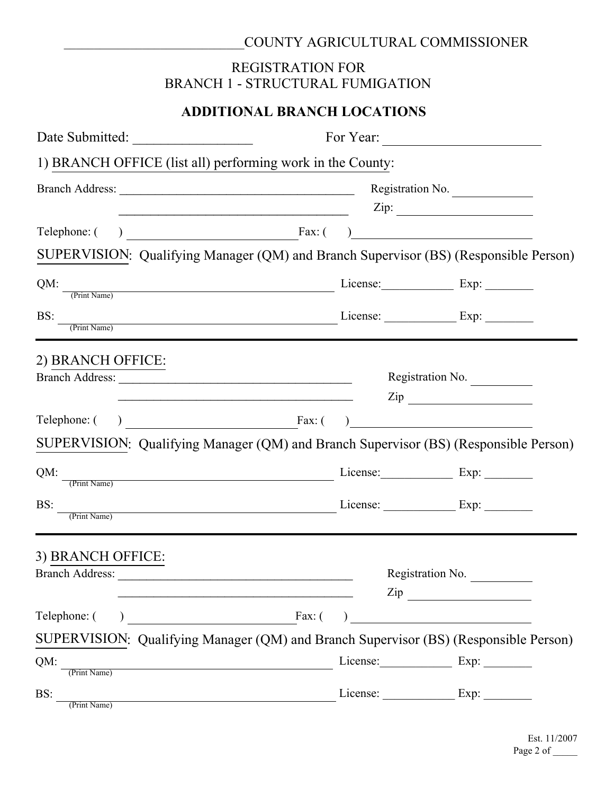# \_\_\_\_\_\_\_\_\_\_\_\_\_\_\_\_\_\_\_\_\_\_\_\_\_\_\_\_\_\_COUNTY AGRICULTURAL COMMISSIONER

## REGISTRATION FOR BRANCH 1 - STRUCTURAL FUMIGATION

# **ADDITIONAL BRANCH LOCATIONS**

|                          |  | 1) BRANCH OFFICE (list all) performing work in the County:                                                                                                                                                                                                                                                                                                                                                           |  |                                                         |  |  |
|--------------------------|--|----------------------------------------------------------------------------------------------------------------------------------------------------------------------------------------------------------------------------------------------------------------------------------------------------------------------------------------------------------------------------------------------------------------------|--|---------------------------------------------------------|--|--|
|                          |  | Branch Address: Registration No.                                                                                                                                                                                                                                                                                                                                                                                     |  |                                                         |  |  |
|                          |  |                                                                                                                                                                                                                                                                                                                                                                                                                      |  | $\mathsf{Zip:}\qquad \qquad \overbrace{\qquad \qquad }$ |  |  |
|                          |  |                                                                                                                                                                                                                                                                                                                                                                                                                      |  |                                                         |  |  |
|                          |  | SUPERVISION: Qualifying Manager (QM) and Branch Supervisor (BS) (Responsible Person)                                                                                                                                                                                                                                                                                                                                 |  |                                                         |  |  |
|                          |  | $QM:$ $\frac{QM:}{(Print Name)}$ License: Exp: Exp:                                                                                                                                                                                                                                                                                                                                                                  |  |                                                         |  |  |
| $\overline{\text{BS}}$ : |  |                                                                                                                                                                                                                                                                                                                                                                                                                      |  |                                                         |  |  |
| 2) BRANCH OFFICE:        |  |                                                                                                                                                                                                                                                                                                                                                                                                                      |  |                                                         |  |  |
|                          |  |                                                                                                                                                                                                                                                                                                                                                                                                                      |  | Registration No.                                        |  |  |
|                          |  | <u> 1990 - Johann John Stone, mars eta erromaniar eta erromania eta erromania eta erromania eta erromania eta err</u>                                                                                                                                                                                                                                                                                                |  | $\mathsf{Zip}$                                          |  |  |
|                          |  | SUPERVISION: Qualifying Manager (QM) and Branch Supervisor (BS) (Responsible Person)                                                                                                                                                                                                                                                                                                                                 |  |                                                         |  |  |
|                          |  |                                                                                                                                                                                                                                                                                                                                                                                                                      |  |                                                         |  |  |
|                          |  | QM: The Unit Name) License: Exp: Exp:                                                                                                                                                                                                                                                                                                                                                                                |  |                                                         |  |  |
| BS:<br>(Print Name)      |  | $\frac{1}{\sqrt{1-\frac{1}{2}}\sqrt{1-\frac{1}{2}}\sqrt{1-\frac{1}{2}}\sqrt{1-\frac{1}{2}}\sqrt{1-\frac{1}{2}}\sqrt{1-\frac{1}{2}}\sqrt{1-\frac{1}{2}}\sqrt{1-\frac{1}{2}}\sqrt{1-\frac{1}{2}}\sqrt{1-\frac{1}{2}}\sqrt{1-\frac{1}{2}}\sqrt{1-\frac{1}{2}}\sqrt{1-\frac{1}{2}}\sqrt{1-\frac{1}{2}}\sqrt{1-\frac{1}{2}}\sqrt{1-\frac{1}{2}}\sqrt{1-\frac{1}{2}}\sqrt{1-\frac{1}{2}}\sqrt{1-\frac{1}{2}}\sqrt{1-\frac$ |  |                                                         |  |  |
| 3) BRANCH OFFICE:        |  |                                                                                                                                                                                                                                                                                                                                                                                                                      |  |                                                         |  |  |
| <b>Branch Address:</b>   |  |                                                                                                                                                                                                                                                                                                                                                                                                                      |  | Registration No.                                        |  |  |
|                          |  | <u> 1989 - Johann John Stone, markin film yn y brenin y brenin y brenin y brenin y brenin y brenin y brenin y br</u>                                                                                                                                                                                                                                                                                                 |  | $\mathsf{Zip} \xrightarrow{\qquad \qquad }$             |  |  |
| Telephone: (             |  | $\text{Fax:}$ ( )                                                                                                                                                                                                                                                                                                                                                                                                    |  |                                                         |  |  |
|                          |  | SUPERVISION: Qualifying Manager (QM) and Branch Supervisor (BS) (Responsible Person)                                                                                                                                                                                                                                                                                                                                 |  |                                                         |  |  |
| QM:<br>(Print Name)      |  | <u> 1980 - Johann Barbara, martxa alemaniar arg</u>                                                                                                                                                                                                                                                                                                                                                                  |  | License: Exp:                                           |  |  |
| BS:<br>(Print Name)      |  |                                                                                                                                                                                                                                                                                                                                                                                                                      |  | License: <u>Exp:</u>                                    |  |  |